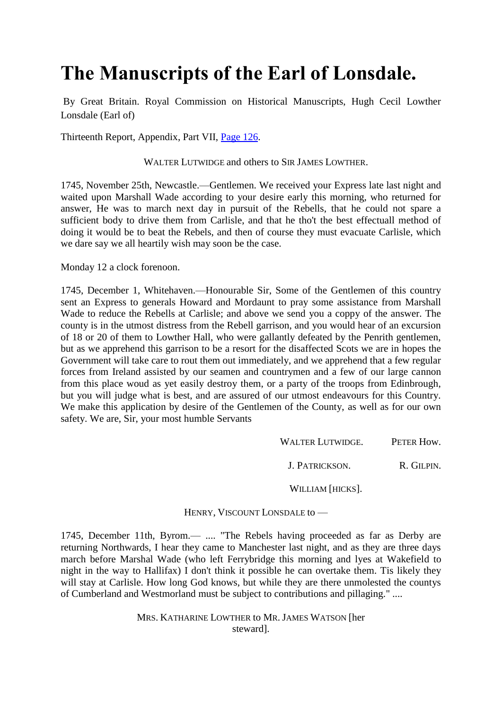## **The Manuscripts of the Earl of Lonsdale.**

By Great Britain. Royal Commission on Historical Manuscripts, Hugh Cecil Lowther Lonsdale (Earl of)

Thirteenth Report, Appendix, Part VII, [Page 126.](http://books.google.com/books?id=Qu0LAQAAIAAJ&dq=inauthor%3A%22Great%20Britain.%20Royal%20Commission%20on%20Historical%20Manuscripts%22&pg=PA126#v=onepage&q=Wade&f=false)

WALTER LUTWIDGE and others to SIR JAMES LOWTHER.

1745, November 25th, Newcastle.—Gentlemen. We received your Express late last night and waited upon Marshall Wade according to your desire early this morning, who returned for answer, He was to march next day in pursuit of the Rebells, that he could not spare a sufficient body to drive them from Carlisle, and that he tho't the best effectuall method of doing it would be to beat the Rebels, and then of course they must evacuate Carlisle, which we dare say we all heartily wish may soon be the case.

Monday 12 a clock forenoon.

1745, December 1, Whitehaven.—Honourable Sir, Some of the Gentlemen of this country sent an Express to generals Howard and Mordaunt to pray some assistance from Marshall Wade to reduce the Rebells at Carlisle; and above we send you a coppy of the answer. The county is in the utmost distress from the Rebell garrison, and you would hear of an excursion of 18 or 20 of them to Lowther Hall, who were gallantly defeated by the Penrith gentlemen, but as we apprehend this garrison to be a resort for the disaffected Scots we are in hopes the Government will take care to rout them out immediately, and we apprehend that a few regular forces from Ireland assisted by our seamen and countrymen and a few of our large cannon from this place woud as yet easily destroy them, or a party of the troops from Edinbrough, but you will judge what is best, and are assured of our utmost endeavours for this Country. We make this application by desire of the Gentlemen of the County, as well as for our own safety. We are, Sir, your most humble Servants

WALTER LUTWIDGE. PETER How.

J. PATRICKSON. R. GILPIN.

WILLIAM [HICKS].

HENRY, VISCOUNT LONSDALE to —

1745, December 11th, Byrom.— .... "The Rebels having proceeded as far as Derby are returning Northwards, I hear they came to Manchester last night, and as they are three days march before Marshal Wade (who left Ferrybridge this morning and lyes at Wakefield to night in the way to Hallifax) I don't think it possible he can overtake them. Tis likely they will stay at Carlisle. How long God knows, but while they are there unmolested the countys of Cumberland and Westmorland must be subject to contributions and pillaging." ....

> MRS. KATHARINE LOWTHER to MR.JAMES WATSON [her steward].